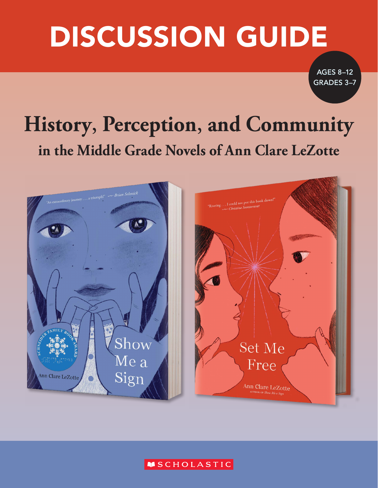# DISCUSSION GUIDE

AGES 8–12 GRADES 3–7

# **History, Perception, and Community in the Middle Grade Novels of Ann Clare LeZotte**



#### **MSCHOLASTIC**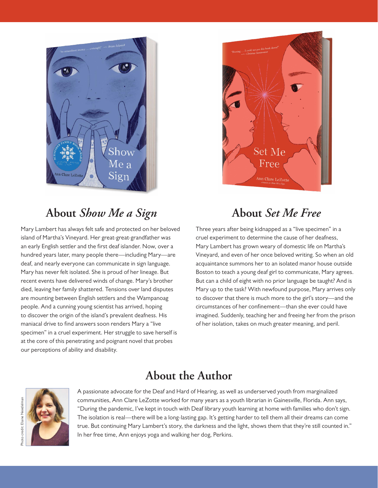

#### **About** *Show Me a Sign*

Mary Lambert has always felt safe and protected on her beloved island of Martha's Vineyard. Her great-great-grandfather was an early English settler and the first deaf islander. Now, over a hundred years later, many people there—including Mary—are deaf, and nearly everyone can communicate in sign language. Mary has never felt isolated. She is proud of her lineage. But recent events have delivered winds of change. Mary's brother died, leaving her family shattered. Tensions over land disputes are mounting between English settlers and the Wampanoag people. And a cunning young scientist has arrived, hoping to discover the origin of the island's prevalent deafness. His maniacal drive to find answers soon renders Mary a "live specimen" in a cruel experiment. Her struggle to save herself is at the core of this penetrating and poignant novel that probes our perceptions of ability and disability.



#### **About** *Set Me Free*

Three years after being kidnapped as a "live specimen" in a cruel experiment to determine the cause of her deafness, Mary Lambert has grown weary of domestic life on Martha's Vineyard, and even of her once beloved writing. So when an old acquaintance summons her to an isolated manor house outside Boston to teach a young deaf girl to communicate, Mary agrees. But can a child of eight with no prior language be taught? And is Mary up to the task? With newfound purpose, Mary arrives only to discover that there is much more to the girl's story—and the circumstances of her confinement—than she ever could have imagined. Suddenly, teaching her and freeing her from the prison of her isolation, takes on much greater meaning, and peril.

#### **About the Author**



A passionate advocate for the Deaf and Hard of Hearing, as well as underserved youth from marginalized communities, Ann Clare LeZotte worked for many years as a youth librarian in Gainesville, Florida. Ann says, "During the pandemic, I've kept in touch with Deaf library youth learning at home with families who don't sign. The isolation is real—there will be a long-lasting gap. It's getting harder to tell them all their dreams can come true. But continuing Mary Lambert's story, the darkness and the light, shows them that they're still counted in." In her free time, Ann enjoys yoga and walking her dog, Perkins.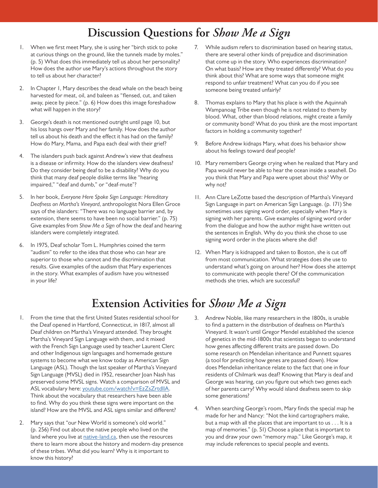## **Discussion Questions for** *Show Me a Sign*

- 1. When we first meet Mary, she is using her "birch stick to poke at curious things on the ground, like the tunnels made by moles." (p. 5) What does this immediately tell us about her personality? How does the author use Mary's actions throughout the story to tell us about her character?
- 2. In Chapter 1, Mary describes the dead whale on the beach being harvested for meat, oil, and baleen as "flensed, cut, and taken away, piece by piece." (p. 6) How does this image foreshadow what will happen in the story?
- 3. George's death is not mentioned outright until page 10, but his loss hangs over Mary and her family. How does the author tell us about his death and the effect it has had on the family? How do Mary, Mama, and Papa each deal with their grief?
- 4. The islanders push back against Andrew's view that deafness is a disease or infirmity. How do the islanders view deafness? Do they consider being deaf to be a disability? Why do you think that many deaf people dislike terms like "hearing impaired," "deaf and dumb," or "deaf-mute"?
- 5. In her book, *Everyone Here Spoke Sign Language: Hereditary Deafness on Martha's Vineyard*, anthropologist Nora Ellen Groce says of the islanders: "There was no language barrier and, by extension, there seems to have been no social barrier." (p. 75) Give examples from *Show Me a Sign* of how the deaf and hearing islanders were completely integrated.
- 6. In 1975, Deaf scholar Tom L. Humphries coined the term "audism" to refer to the idea that those who can hear are superior to those who cannot and the discrimination that results. Give examples of the audism that Mary experiences in the story. What examples of audism have you witnessed in your life?
- 7. While audism refers to discrimination based on hearing status, there are several other kinds of prejudice and discrimination that come up in the story. Who experiences discrimination? On what basis? How are they treated differently? What do you think about this? What are some ways that someone might respond to unfair treatment? What can you do if you see someone being treated unfairly?
- 8. Thomas explains to Mary that his place is with the Aquinnah Wampanoag Tribe even though he is not related to them by blood. What, other than blood relations, might create a family or community bond? What do you think are the most important factors in holding a community together?
- 9. Before Andrew kidnaps Mary, what does his behavior show about his feelings toward deaf people?
- 10. Mary remembers George crying when he realized that Mary and Papa would never be able to hear the ocean inside a seashell. Do you think that Mary and Papa were upset about this? Why or why not?
- 11. Ann Clare LeZotte based the description of Martha's Vineyard Sign Language in part on American Sign Language. (p. 171) She sometimes uses signing word order, especially when Mary is signing with her parents. Give examples of signing word order from the dialogue and how the author might have written out the sentences in English. Why do you think she chose to use signing word order in the places where she did?
- 12. When Mary is kidnapped and taken to Boston, she is cut off from most communication. What strategies does she use to understand what's going on around her? How does she attempt to communicate with people there? Of the communication methods she tries, which are successful?

# **Extension Activities for** *Show Me a Sign*

- 1. From the time that the first United States residential school for the Deaf opened in Hartford, Connecticut, in 1817, almost all Deaf children on Martha's Vineyard attended. They brought Martha's Vineyard Sign Language with them, and it mixed with the French Sign Language used by teacher Laurent Clerc and other Indigenous sign languages and homemade gesture systems to become what we know today as American Sign Language (ASL). Though the last speaker of Martha's Vineyard Sign Language (MVSL) died in 1952, researcher Joan Nash has preserved some MVSL signs. Watch a comparison of MVSL and ASL vocabulary here: [youtube.com/watch?v=EzZsZrtdIlA.](https://www.youtube.com/watch?v=EzZsZrtdIlA) Think about the vocabulary that researchers have been able to find. Why do you think these signs were important on the island? How are the MVSL and ASL signs similar and different?
- 2. Mary says that "our New World is someone's old world." (p. 256) Find out about the native people who lived on the land where you live at **native-land.ca**, then use the resources there to learn more about the history and modern-day presence of these tribes. What did you learn? Why is it important to know this history?
- 3. Andrew Noble, like many researchers in the 1800s, is unable to find a pattern in the distribution of deafness on Martha's Vineyard. It wasn't until Gregor Mendel established the science of genetics in the mid-1800s that scientists began to understand how genes affecting different traits are passed down. Do some research on Mendelian inheritance and Punnett squares (a tool for predicting how genes are passed down). How does Mendelian inheritance relate to the fact that one in four residents of Chilmark was deaf? Knowing that Mary is deaf and George was hearing, can you figure out which two genes each of her parents carry? Why would island deafness seem to skip some generations?
- 4. When searching George's room, Mary finds the special map he made for her and Nancy: "Not the kind cartographers make, but a map with all the places that are important to us . . . It is a map of memories." (p. 51) Choose a place that is important to you and draw your own "memory map." Like George's map, it may include references to special people and events.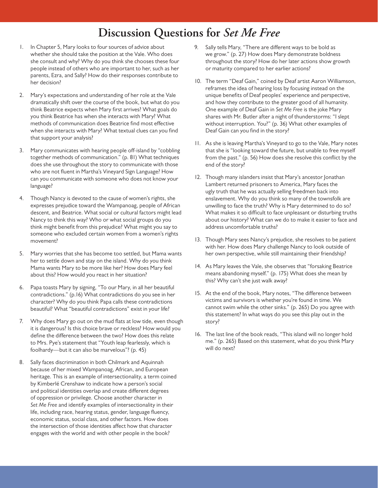#### **Discussion Questions for** *Set Me Free*

- 1. In Chapter 5, Mary looks to four sources of advice about whether she should take the position at the Vale. Who does she consult and why? Why do you think she chooses these four people instead of others who are important to her, such as her parents, Ezra, and Sally? How do their responses contribute to her decision?
- 2. Mary's expectations and understanding of her role at the Vale dramatically shift over the course of the book, but what do you think Beatrice expects when Mary first arrives? What goals do you think Beatrice has when she interacts with Mary? What methods of communication does Beatrice find most effective when she interacts with Mary? What textual clues can you find that support your analysis?
- 3. Mary communicates with hearing people off-island by "cobbling together methods of communication." (p. 81) What techniques does she use throughout the story to communicate with those who are not fluent in Martha's Vineyard Sign Language? How can you communicate with someone who does not know your language?
- 4. Though Nancy is devoted to the cause of women's rights, she expresses prejudice toward the Wampanoag, people of African descent, and Beatrice. What social or cultural factors might lead Nancy to think this way? Who or what social groups do you think might benefit from this prejudice? What might you say to someone who excluded certain women from a women's rights movement?
- 5. Mary worries that she has become too settled, but Mama wants her to settle down and stay on the island. Why do you think Mama wants Mary to be more like her? How does Mary feel about this? How would you react in her situation?
- 6. Papa toasts Mary by signing, "To our Mary, in all her beautiful contradictions." (p.16) What contradictions do you see in her character? Why do you think Papa calls these contradictions beautiful? What "beautiful contradictions" exist in your life?
- 7. Why does Mary go out on the mud flats at low tide, even though it is dangerous? Is this choice brave or reckless? How would you define the difference between the two? How does this relate to Mrs. Pye's statement that "Youth leap fearlessly, which is foolhardy—but it can also be marvelous"? (p. 45)
- 8. Sally faces discrimination in both Chilmark and Aquinnah because of her mixed Wampanoag, African, and European heritage. This is an example of intersectionality, a term coined by Kimberlé Crenshaw to indicate how a person's social and political identities overlap and create different degrees of oppression or privilege. Choose another character in *Set Me Free* and identify examples of intersectionality in their life, including race, hearing status, gender, language fluency, economic status, social class, and other factors. How does the intersection of those identities affect how that character engages with the world and with other people in the book?
- 9. Sally tells Mary, "There are different ways to be bold as we grow." (p. 27) How does Mary demonstrate boldness throughout the story? How do her later actions show growth or maturity compared to her earlier actions?
- 10. The term "Deaf Gain," coined by Deaf artist Aaron Williamson, reframes the idea of hearing loss by focusing instead on the unique benefits of Deaf peoples' experience and perspective, and how they contribute to the greater good of all humanity. One example of Deaf Gain in *Set Me Free* is the joke Mary shares with Mr. Butler after a night of thunderstorms: "I slept without interruption. You?" (p. 36) What other examples of Deaf Gain can you find in the story?
- 11. As she is leaving Martha's Vineyard to go to the Vale, Mary notes that she is "looking toward the future, but unable to free myself from the past." (p. 56) How does she resolve this conflict by the end of the story?
- 12. Though many islanders insist that Mary's ancestor Jonathan Lambert returned prisoners to America, Mary faces the ugly truth that he was actually selling freedmen back into enslavement. Why do you think so many of the townsfolk are unwilling to face the truth? Why is Mary determined to do so? What makes it so difficult to face unpleasant or disturbing truths about our history? What can we do to make it easier to face and address uncomfortable truths?
- 13. Though Mary sees Nancy's prejudice, she resolves to be patient with her. How does Mary challenge Nancy to look outside of her own perspective, while still maintaining their friendship?
- 14. As Mary leaves the Vale, she observes that "forsaking Beatrice means abandoning myself." (p. 175) What does she mean by this? Why can't she just walk away?
- 15. At the end of the book, Mary notes, "The difference between victims and survivors is whether you're found in time. We cannot swim while the other sinks." (p. 265) Do you agree with this statement? In what ways do you see this play out in the story?
- 16. The last line of the book reads, "This island will no longer hold me." (p. 265) Based on this statement, what do you think Mary will do next?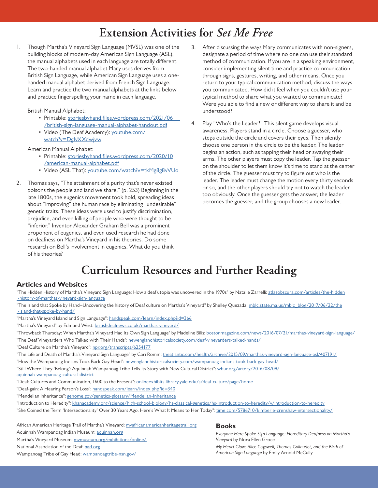#### **Extension Activities for** *Set Me Free*

1. Though Martha's Vineyard Sign Language (MVSL) was one of the building blocks of modern-day American Sign Language (ASL), the manual alphabets used in each language are totally different. The two-handed manual alphabet Mary uses derives from British Sign Language, while American Sign Language uses a onehanded manual alphabet derived from French Sign Language. Learn and practice the two manual alphabets at the links below and practice fingerspelling your name in each language.

British Manual Alphabet:

- Printable: [storiesbyhand.files.wordpress.com/2021/06](https://storiesbyhand.files.wordpress.com/2021/06/british-sign-language-manual-alphabet-handout.pdf) [/british-sign-language-manual-alphabet-handout.pdf](https://storiesbyhand.files.wordpress.com/2021/06/british-sign-language-manual-alphabet-handout.pdf)
- Video (The Deaf Academy): [youtube.com/](https://www.youtube.com/watch?v=DgIvXXdwjvw) [watch?v=DgIvXXdwjvw](https://www.youtube.com/watch?v=DgIvXXdwjvw)

American Manual Alphabet:

- Printable: [storiesbyhand.files.wordpress.com/2020/10](https://storiesbyhand.files.wordpress.com/2020/10/american-manual-alphabet.pdf) [/american-manual-alphabet.pdf](https://storiesbyhand.files.wordpress.com/2020/10/american-manual-alphabet.pdf)
- Video (ASL That): [youtube.com/watch?v=tkMg8g8vVUo](https://www.youtube.com/watch?v=tkMg8g8vVUo)
- 2. Thomas says, "The attainment of a purity that's never existed poisons the people and land we share." (p. 253) Beginning in the late 1800s, the eugenics movement took hold, spreading ideas about "improving" the human race by eliminating "undesirable" genetic traits. These ideas were used to justify discrimination, prejudice, and even killing of people who were thought to be "inferior." Inventor Alexander Graham Bell was a prominent proponent of eugenics, and even used research he had done on deafness on Martha's Vineyard in his theories. Do some research on Bell's involvement in eugenics. What do you think of his theories?
- 3. After discussing the ways Mary communicates with non-signers, designate a period of time where no one can use their standard method of communication. If you are in a speaking environment, consider implementing silent time and practice communication through signs, gestures, writing, and other means. Once you return to your typical communication method, discuss the ways you communicated. How did it feel when you couldn't use your typical method to share what you wanted to communicate? Were you able to find a new or different way to share it and be understood?
- 4. Play "Who's the Leader?" This silent game develops visual awareness. Players stand in a circle. Choose a guesser, who steps outside the circle and covers their eyes. Then silently choose one person in the circle to be the leader. The leader begins an action, such as tapping their head or swaying their arms. The other players must copy the leader. Tap the guesser on the shoulder to let them know it's time to stand at the center of the circle. The guesser must try to figure out who is the leader. The leader must change the motion every thirty seconds or so, and the other players should try not to watch the leader too obviously. Once the guesser gets the answer, the leader becomes the guesser, and the group chooses a new leader.

## **Curriculum Resources and Further Reading**

#### **Articles and Websites**

"The Hidden History of Martha's Vineyard Sign Language: How a deaf utopia was uncovered in the 1970s" by Natalie Zarrelli: [atlasobscura.com/articles/the-hidden](https://www.atlasobscura.com/articles/the-hidden-history-of-marthas-vineyard-sign-language)  [-history-of-marthas-vineyard-sign-language](https://www.atlasobscura.com/articles/the-hidden-history-of-marthas-vineyard-sign-language)

"The Island that Spoke by Hand–Uncovering the history of Deaf culture on Martha's Vineyard" by Shelley Quezada: [mblc.state.ma.us/mblc\\_blog/2017/06/22/the](https://mblc.state.ma.us/mblc_blog/2017/06/22/the-island-that-spoke-by-hand/)  [-island-that-spoke-by-hand/](https://mblc.state.ma.us/mblc_blog/2017/06/22/the-island-that-spoke-by-hand/)

"Martha's Vineyard Island and Sign Language": [handspeak.com/learn/index.php?id=366](https://www.handspeak.com/learn/index.php?id=366)

"Martha's Vineyard" by Edmund West: [britishdeafnews.co.uk/marthas-vineyard/](https://www.britishdeafnews.co.uk/marthas-vineyard/)

"Throwback Thursday: When Martha's Vineyard Had Its Own Sign Language" by Madeline Bilis: [bostonmagazine.com/news/2016/07/21/marthas-vineyard-sign-language/](https://www.bostonmagazine.com/news/2016/07/21/marthas-vineyard-sign-language/) "The Deaf Vineyarders Who Talked with Their Hands": [newenglandhistoricalsociety.com/deaf-vineyarders-talked-hands/](https://www.newenglandhistoricalsociety.com/deaf-vineyarders-talked-hands/)

"Deaf Culture on Martha's Vineyard": [npr.org/transcripts/6254177](https://www.npr.org/transcripts/6254177)

"The Life and Death of Martha's Vineyard Sign Language" by Cari Romm: [theatlantic.com/health/archive/2015/09/marthas-vineyard-sign-language-asl/407191/](https://www.theatlantic.com/health/archive/2015/09/marthas-vineyard-sign-language-asl/407191/)

"How the Wampanoag Indians Took Back Gay Head": [newenglandhistoricalsociety.com/wampanoag-indians-took-back-gay-head/](https://www.newenglandhistoricalsociety.com/wampanoag-indians-took-back-gay-head/)

"Still Where They 'Belong': Aquinnah Wampanoag Tribe Tells Its Story with New Cultural District": [wbur.org/artery/2016/08/09/](https://www.wbur.org/news/2016/08/09/aquinnah-wampanoag-cultural-district) [aquinnah-wampanoag-cultural-district](https://www.wbur.org/news/2016/08/09/aquinnah-wampanoag-cultural-district)

"Deaf: Cultures and Communication, 1600 to the Present": **[onlineexhibits.library.yale.edu/s/deaf-culture/page/home](https://onlineexhibits.library.yale.edu/s/deaf-culture/page/home)** 

"Deaf-gain: A Hearing Person's Loss": [handspeak.com/learn/index.php?id=340](https://www.handspeak.com/learn/index.php?id=340)

"Mendelian Inheritance": [genome.gov/genetics-glossary/Mendelian-Inheritance](https://www.genome.gov/genetics-glossary/Mendelian-Inheritance)

"Introduction to Heredit*y*"*:* [khanacademy.org/science/high-school-biology/hs-classical-genetics/hs-introduction-to-heredity/v/introduction-to-heredity](https://www.khanacademy.org/science/high-school-biology/hs-classical-genetics/hs-introduction-to-heredity/v/introduction-to-heredity)

"She Coined the Term 'Intersectionality' Over 30 Years Ago. Here's What It Means to Her Today"*:* [time.com/5786710/kimberle-crenshaw-intersectionality/](https://time.com/5786710/kimberle-crenshaw-intersectionality/)

African American Heritage Trail of Martha's Vineyard: [mvafricanamericanheritagetrail.org](https://mvafricanamericanheritagetrail.org/) Aquinnah Wampanoag Indian Museum: [aquinnah.org](https://www.aquinnah.org/)

Martha's Vineyard Museum: [mvmuseum.org/exhibitions/online/](http://mvmuseum.org/exhibitions/online/)

National Association of the Deaf: [nad.org](https://www.nad.org/)

Wampanoag Tribe of Gay Head: [wampanoagtribe-nsn.gov/](https://wampanoagtribe-nsn.gov/)

#### **Books**

*Everyone Here Spoke Sign Language: Hereditary Deafness on Martha's Vineyard* by Nora Ellen Groce

*My Heart Glow: Alice Cogswell, Thomas Gallaudet, and the Birth of American Sign Language* by Emily Arnold McCully